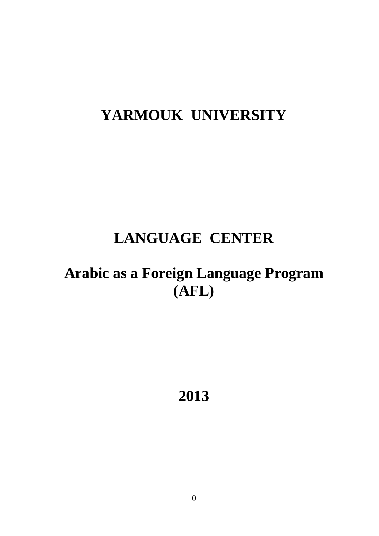# **YARMOUK UNIVERSITY**

# **LANGUAGE CENTER**

# **Arabic as a Foreign Language Program (AFL)**

**2013**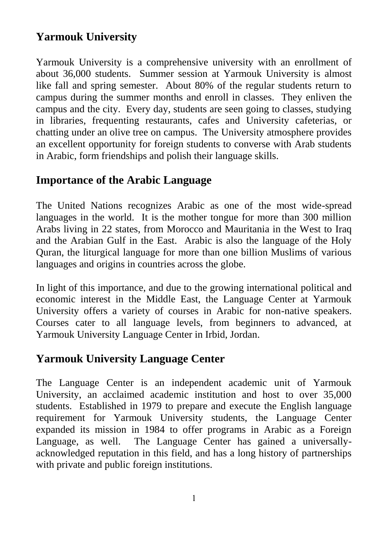# **Yarmouk University**

Yarmouk University is a comprehensive university with an enrollment of about 36,000 students. Summer session at Yarmouk University is almost like fall and spring semester. About 80% of the regular students return to campus during the summer months and enroll in classes. They enliven the campus and the city. Every day, students are seen going to classes, studying in libraries, frequenting restaurants, cafes and University cafeterias, or chatting under an olive tree on campus. The University atmosphere provides an excellent opportunity for foreign students to converse with Arab students in Arabic, form friendships and polish their language skills.

# **Importance of the Arabic Language**

The United Nations recognizes Arabic as one of the most wide-spread languages in the world. It is the mother tongue for more than 300 million Arabs living in 22 states, from Morocco and Mauritania in the West to Iraq and the Arabian Gulf in the East. Arabic is also the language of the Holy Quran, the liturgical language for more than one billion Muslims of various languages and origins in countries across the globe.

In light of this importance, and due to the growing international political and economic interest in the Middle East, the Language Center at Yarmouk University offers a variety of courses in Arabic for non-native speakers. Courses cater to all language levels, from beginners to advanced, at Yarmouk University Language Center in Irbid, Jordan.

# **Yarmouk University Language Center**

The Language Center is an independent academic unit of Yarmouk University, an acclaimed academic institution and host to over 35,000 students. Established in 1979 to prepare and execute the English language requirement for Yarmouk University students, the Language Center expanded its mission in 1984 to offer programs in Arabic as a Foreign Language, as well. The Language Center has gained a universallyacknowledged reputation in this field, and has a long history of partnerships with private and public foreign institutions.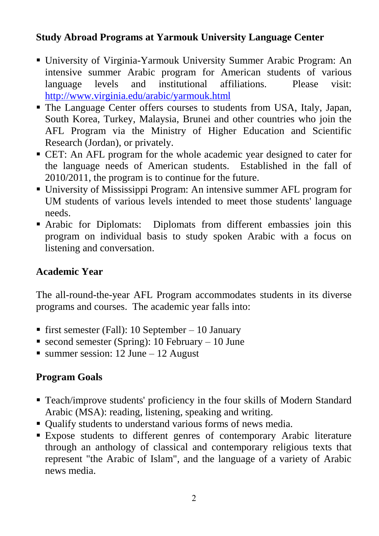#### **Study Abroad Programs at Yarmouk University Language Center**

- University of Virginia-Yarmouk University Summer Arabic Program: An intensive summer Arabic program for American students of various language levels and institutional affiliations. Please visit: <http://www.virginia.edu/arabic/yarmouk.html>
- The Language Center offers courses to students from USA, Italy, Japan, South Korea, Turkey, Malaysia, Brunei and other countries who join the AFL Program via the Ministry of Higher Education and Scientific Research (Jordan), or privately.
- CET: An AFL program for the whole academic year designed to cater for the language needs of American students. Established in the fall of 2010/2011, the program is to continue for the future.
- University of Mississippi Program: An intensive summer AFL program for UM students of various levels intended to meet those students' language needs.
- Arabic for Diplomats: Diplomats from different embassies join this program on individual basis to study spoken Arabic with a focus on listening and conversation.

#### **Academic Year**

The all-round-the-year AFL Program accommodates students in its diverse programs and courses. The academic year falls into:

- first semester (Fall): 10 September 10 January
- second semester (Spring): 10 February 10 June
- $\blacksquare$  summer session: 12 June 12 August

# **Program Goals**

- Teach/improve students' proficiency in the four skills of Modern Standard Arabic (MSA): reading, listening, speaking and writing.
- Qualify students to understand various forms of news media.
- Expose students to different genres of contemporary Arabic literature through an anthology of classical and contemporary religious texts that represent "the Arabic of Islam", and the language of a variety of Arabic news media.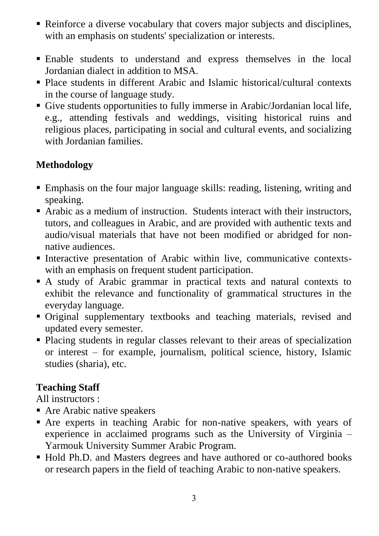- Reinforce a diverse vocabulary that covers major subjects and disciplines, with an emphasis on students' specialization or interests.
- Enable students to understand and express themselves in the local Jordanian dialect in addition to MSA.
- Place students in different Arabic and Islamic historical/cultural contexts in the course of language study.
- Give students opportunities to fully immerse in Arabic/Jordanian local life, e.g., attending festivals and weddings, visiting historical ruins and religious places, participating in social and cultural events, and socializing with Jordanian families.

# **Methodology**

- Emphasis on the four major language skills: reading, listening, writing and speaking.
- Arabic as a medium of instruction. Students interact with their instructors, tutors, and colleagues in Arabic, and are provided with authentic texts and audio/visual materials that have not been modified or abridged for nonnative audiences.
- Interactive presentation of Arabic within live, communicative contextswith an emphasis on frequent student participation.
- A study of Arabic grammar in practical texts and natural contexts to exhibit the relevance and functionality of grammatical structures in the everyday language.
- Original supplementary textbooks and teaching materials, revised and updated every semester.
- Placing students in regular classes relevant to their areas of specialization or interest – for example, journalism, political science, history, Islamic studies (sharia), etc.

#### **Teaching Staff**

All instructors :

- Are Arabic native speakers
- Are experts in teaching Arabic for non-native speakers, with years of experience in acclaimed programs such as the University of Virginia – Yarmouk University Summer Arabic Program.
- Hold Ph.D. and Masters degrees and have authored or co-authored books or research papers in the field of teaching Arabic to non-native speakers.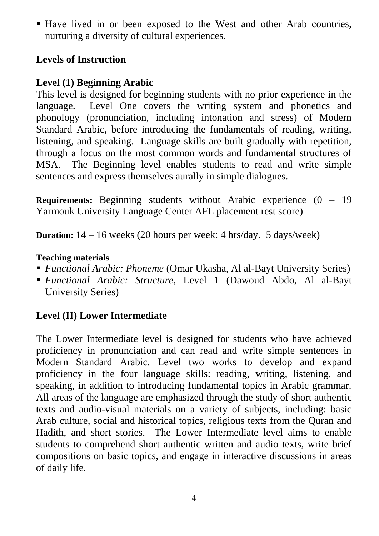Have lived in or been exposed to the West and other Arab countries, nurturing a diversity of cultural experiences.

# **Levels of Instruction**

# **Level (1) Beginning Arabic**

This level is designed for beginning students with no prior experience in the language. Level One covers the writing system and phonetics and phonology (pronunciation, including intonation and stress) of Modern Standard Arabic, before introducing the fundamentals of reading, writing, listening, and speaking. Language skills are built gradually with repetition, through a focus on the most common words and fundamental structures of MSA. The Beginning level enables students to read and write simple sentences and express themselves aurally in simple dialogues.

**Requirements:** Beginning students without Arabic experience (0 – 19 Yarmouk University Language Center AFL placement rest score)

**Duration:** 14 – 16 weeks (20 hours per week: 4 hrs/day. 5 days/week)

#### **Teaching materials**

- *Functional Arabic: Phoneme* (Omar Ukasha, Al al-Bayt University Series)
- *Functional Arabic: Structure*, Level 1 (Dawoud Abdo, Al al-Bayt University Series)

# **Level (II) Lower Intermediate**

The Lower Intermediate level is designed for students who have achieved proficiency in pronunciation and can read and write simple sentences in Modern Standard Arabic. Level two works to develop and expand proficiency in the four language skills: reading, writing, listening, and speaking, in addition to introducing fundamental topics in Arabic grammar. All areas of the language are emphasized through the study of short authentic texts and audio-visual materials on a variety of subjects, including: basic Arab culture, social and historical topics, religious texts from the Quran and Hadith, and short stories. The Lower Intermediate level aims to enable students to comprehend short authentic written and audio texts, write brief compositions on basic topics, and engage in interactive discussions in areas of daily life.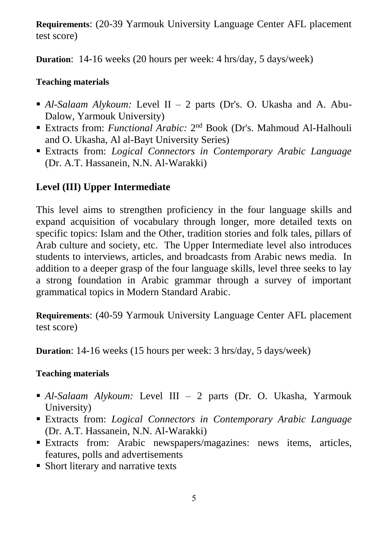**Requirements**: (20-39 Yarmouk University Language Center AFL placement test score)

**Duration**: 14-16 weeks (20 hours per week: 4 hrs/day, 5 days/week)

#### **Teaching materials**

- *Al-Salaam Alykoum:* Level II 2 parts (Dr's. O. Ukasha and A. Abu-Dalow, Yarmouk University)
- Extracts from: *Functional Arabic*: 2<sup>nd</sup> Book (Dr's. Mahmoud Al-Halhouli and O. Ukasha, Al al-Bayt University Series)
- Extracts from: *Logical Connectors in Contemporary Arabic Language* (Dr. A.T. Hassanein, N.N. Al-Warakki)

# **Level (III) Upper Intermediate**

This level aims to strengthen proficiency in the four language skills and expand acquisition of vocabulary through longer, more detailed texts on specific topics: Islam and the Other, tradition stories and folk tales, pillars of Arab culture and society, etc. The Upper Intermediate level also introduces students to interviews, articles, and broadcasts from Arabic news media. In addition to a deeper grasp of the four language skills, level three seeks to lay a strong foundation in Arabic grammar through a survey of important grammatical topics in Modern Standard Arabic.

**Requirements**: (40-59 Yarmouk University Language Center AFL placement test score)

**Duration**: 14-16 weeks (15 hours per week: 3 hrs/day, 5 days/week)

#### **Teaching materials**

- *Al-Salaam Alykoum:* Level III 2 parts (Dr. O. Ukasha, Yarmouk University)
- Extracts from: *Logical Connectors in Contemporary Arabic Language* (Dr. A.T. Hassanein, N.N. Al-Warakki)
- Extracts from: Arabic newspapers/magazines: news items, articles, features, polls and advertisements
- Short literary and narrative texts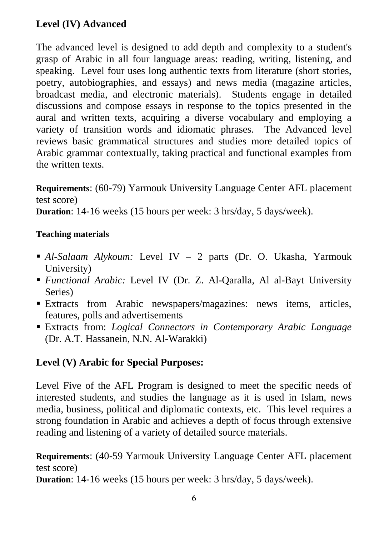# **Level (IV) Advanced**

The advanced level is designed to add depth and complexity to a student's grasp of Arabic in all four language areas: reading, writing, listening, and speaking. Level four uses long authentic texts from literature (short stories, poetry, autobiographies, and essays) and news media (magazine articles, broadcast media, and electronic materials). Students engage in detailed discussions and compose essays in response to the topics presented in the aural and written texts, acquiring a diverse vocabulary and employing a variety of transition words and idiomatic phrases. The Advanced level reviews basic grammatical structures and studies more detailed topics of Arabic grammar contextually, taking practical and functional examples from the written texts.

**Requirements**: (60-79) Yarmouk University Language Center AFL placement test score)

**Duration**: 14-16 weeks (15 hours per week: 3 hrs/day, 5 days/week).

#### **Teaching materials**

- *Al-Salaam Alykoum:* Level IV *–* 2 parts (Dr. O. Ukasha, Yarmouk University)
- *Functional Arabic:* Level IV (Dr. Z. Al-Qaralla, Al al-Bayt University Series)
- Extracts from Arabic newspapers/magazines: news items, articles, features, polls and advertisements
- Extracts from: *Logical Connectors in Contemporary Arabic Language* (Dr. A.T. Hassanein, N.N. Al-Warakki)

#### **Level (V) Arabic for Special Purposes:**

Level Five of the AFL Program is designed to meet the specific needs of interested students, and studies the language as it is used in Islam, news media, business, political and diplomatic contexts, etc. This level requires a strong foundation in Arabic and achieves a depth of focus through extensive reading and listening of a variety of detailed source materials.

**Requirements**: (40-59 Yarmouk University Language Center AFL placement test score)

**Duration**: 14-16 weeks (15 hours per week: 3 hrs/day, 5 days/week).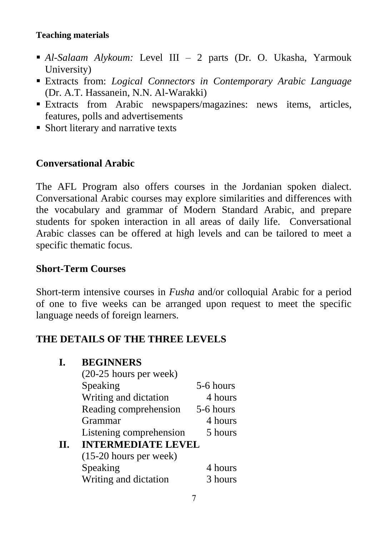#### **Teaching materials**

- *Al-Salaam Alykoum:* Level III *–* 2 parts (Dr. O. Ukasha, Yarmouk University)
- Extracts from: *Logical Connectors in Contemporary Arabic Language* (Dr. A.T. Hassanein, N.N. Al-Warakki)
- Extracts from Arabic newspapers/magazines: news items, articles, features, polls and advertisements
- Short literary and narrative texts

#### **Conversational Arabic**

The AFL Program also offers courses in the Jordanian spoken dialect. Conversational Arabic courses may explore similarities and differences with the vocabulary and grammar of Modern Standard Arabic, and prepare students for spoken interaction in all areas of daily life. Conversational Arabic classes can be offered at high levels and can be tailored to meet a specific thematic focus.

#### **Short-Term Courses**

Short-term intensive courses in *Fusha* and/or colloquial Arabic for a period of one to five weeks can be arranged upon request to meet the specific language needs of foreign learners.

## **THE DETAILS OF THE THREE LEVELS**

|    | <b>BEGINNERS</b>          |           |  |
|----|---------------------------|-----------|--|
|    | $(20-25$ hours per week)  |           |  |
|    | Speaking                  | 5-6 hours |  |
|    | Writing and dictation     | 4 hours   |  |
|    | Reading comprehension     | 5-6 hours |  |
|    | Grammar                   | 4 hours   |  |
|    | Listening comprehension   | 5 hours   |  |
| H. | <b>INTERMEDIATE LEVEL</b> |           |  |
|    | $(15-20$ hours per week)  |           |  |
|    | Speaking                  | 4 hours   |  |
|    | Writing and dictation     | 3 hours   |  |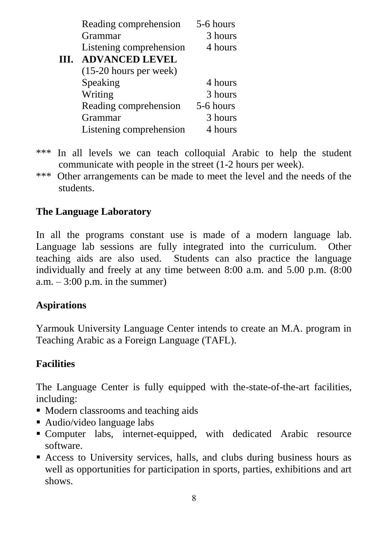|      | Reading comprehension    | 5-6 hours |
|------|--------------------------|-----------|
|      | Grammar                  | 3 hours   |
|      | Listening comprehension  | 4 hours   |
| III. | <b>ADVANCED LEVEL</b>    |           |
|      | $(15-20$ hours per week) |           |
|      | Speaking                 | 4 hours   |
|      | Writing                  | 3 hours   |
|      | Reading comprehension    | 5-6 hours |
|      | Grammar                  | 3 hours   |
|      | Listening comprehension  | 4 hours   |

- \*\*\* In all levels we can teach colloquial Arabic to help the student communicate with people in the street (1-2 hours per week).
- \*\*\* Other arrangements can be made to meet the level and the needs of the students.

# **The Language Laboratory**

In all the programs constant use is made of a modern language lab. Language lab sessions are fully integrated into the curriculum. Other teaching aids are also used. Students can also practice the language individually and freely at any time between 8:00 a.m. and 5.00 p.m. (8:00 a.m.  $-3:00$  p.m. in the summer)

## **Aspirations**

Yarmouk University Language Center intends to create an M.A. program in Teaching Arabic as a Foreign Language (TAFL).

## **Facilities**

The Language Center is fully equipped with the-state-of-the-art facilities, including:

- Modern classrooms and teaching aids
- Audio/video language labs
- Computer labs, internet-equipped, with dedicated Arabic resource software.
- Access to University services, halls, and clubs during business hours as well as opportunities for participation in sports, parties, exhibitions and art shows.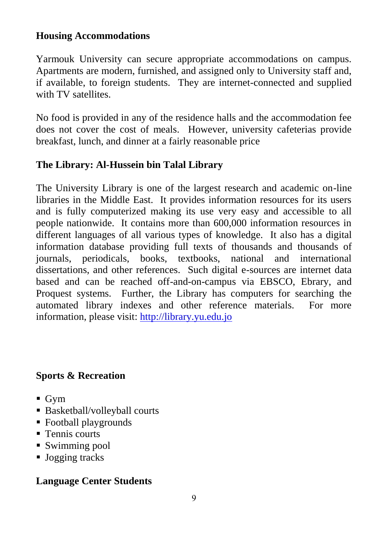#### **Housing Accommodations**

Yarmouk University can secure appropriate accommodations on campus. Apartments are modern, furnished, and assigned only to University staff and, if available, to foreign students. They are internet-connected and supplied with TV satellites.

No food is provided in any of the residence halls and the accommodation fee does not cover the cost of meals. However, university cafeterias provide breakfast, lunch, and dinner at a fairly reasonable price

## **The Library: Al-Hussein bin Talal Library**

The University Library is one of the largest research and academic on-line libraries in the Middle East. It provides information resources for its users and is fully computerized making its use very easy and accessible to all people nationwide. It contains more than 600,000 information resources in different languages of all various types of knowledge. It also has a digital information database providing full texts of thousands and thousands of journals, periodicals, books, textbooks, national and international dissertations, and other references. Such digital e-sources are internet data based and can be reached off-and-on-campus via EBSCO, Ebrary, and Proquest systems. Further, the Library has computers for searching the automated library indexes and other reference materials. For more information, please visit: [http://library.yu.edu.jo](http://library.yu.edu.jo/)

## **Sports & Recreation**

- $\blacksquare$  Gym
- Basketball/volleyball courts
- Football playgrounds
- **Tennis courts**
- Swimming pool
- **Jogging tracks**

## **Language Center Students**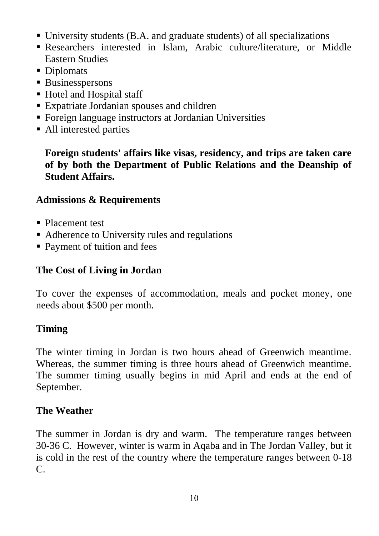- University students (B.A. and graduate students) of all specializations
- Researchers interested in Islam, Arabic culture/literature, or Middle Eastern Studies
- Diplomats
- **Businesspersons**
- Hotel and Hospital staff
- Expatriate Jordanian spouses and children
- Foreign language instructors at Jordanian Universities
- All interested parties

**Foreign students' affairs like visas, residency, and trips are taken care of by both the Department of Public Relations and the Deanship of Student Affairs.**

#### **Admissions & Requirements**

- Placement test
- Adherence to University rules and regulations
- Payment of tuition and fees

### **The Cost of Living in Jordan**

To cover the expenses of accommodation, meals and pocket money, one needs about \$500 per month.

#### **Timing**

The winter timing in Jordan is two hours ahead of Greenwich meantime. Whereas, the summer timing is three hours ahead of Greenwich meantime. The summer timing usually begins in mid April and ends at the end of September.

#### **The Weather**

The summer in Jordan is dry and warm. The temperature ranges between 30-36 C. However, winter is warm in Aqaba and in The Jordan Valley, but it is cold in the rest of the country where the temperature ranges between 0-18 C.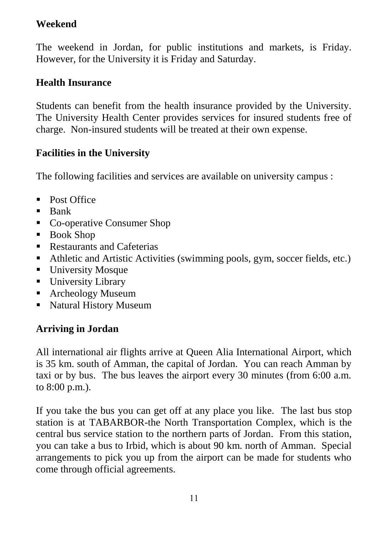## **Weekend**

The weekend in Jordan, for public institutions and markets, is Friday. However, for the University it is Friday and Saturday.

## **Health Insurance**

Students can benefit from the health insurance provided by the University. The University Health Center provides services for insured students free of charge. Non-insured students will be treated at their own expense.

## **Facilities in the University**

The following facilities and services are available on university campus :

- Post Office
- $\blacksquare$  Bank
- Co-operative Consumer Shop
- Book Shop
- **Restaurants and Cafeterias**
- Athletic and Artistic Activities (swimming pools, gym, soccer fields, etc.)
- **University Mosque**
- **University Library**
- Archeology Museum
- Natural History Museum

## **Arriving in Jordan**

All international air flights arrive at Queen Alia International Airport, which is 35 km. south of Amman, the capital of Jordan. You can reach Amman by taxi or by bus. The bus leaves the airport every 30 minutes (from 6:00 a.m. to 8:00 p.m.).

If you take the bus you can get off at any place you like. The last bus stop station is at TABARBOR-the North Transportation Complex, which is the central bus service station to the northern parts of Jordan. From this station, you can take a bus to Irbid, which is about 90 km. north of Amman. Special arrangements to pick you up from the airport can be made for students who come through official agreements.